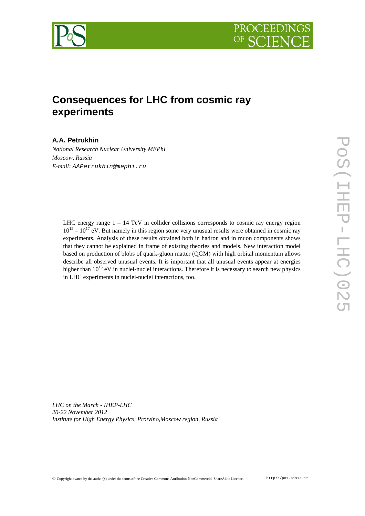



# **Consequences for LHC from cosmic ray experiments**

# **A.A. Petrukhin**

*National Research Nuclear University MEPhI Moscow, Russia E-mail:* AAPetrukhin@mephi.ru

LHC energy range  $1 - 14$  TeV in collider collisions corresponds to cosmic ray energy region  $10^{15} - 10^{17}$  eV. But namely in this region some very unusual results were obtained in cosmic ray experiments. Analysis of these results obtained both in hadron and in muon components shows that they cannot be explained in frame of existing theories and models. New interaction model based on production of blobs of quark-gluon matter (QGM) with high orbital momentum allows describe all observed unusual events. It is important that all unusual events appear at energies higher than  $10^{15}$  eV in nuclei-nuclei interactions. Therefore it is necessary to search new physics in LHC experiments in nuclei-nuclei interactions, too.

*LHC on the March - IHEP-LHC 20-22 November 2012 Institute for High Energy Physics, Protvino,Moscow region, Russia*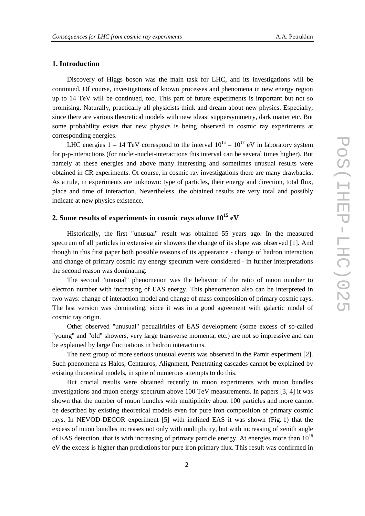## **1. Introduction**

Discovery of Higgs boson was the main task for LHC, and its investigations will be continued. Of course, investigations of known processes and phenomena in new energy region up to 14 TeV will be continued, too. This part of future experiments is important but not so promising. Naturally, practically all physicists think and dream about new physics. Especially, since there are various theoretical models with new ideas: suppersymmetry, dark matter etc. But some probability exists that new physics is being observed in cosmic ray experiments at corresponding energies.

LHC energies  $1 - 14$  TeV correspond to the interval  $10^{15} - 10^{17}$  eV in laboratory system for p-p-interactions (for nuclei-nuclei-interactions this interval can be several times higher). But namely at these energies and above many interesting and sometimes unusual results were obtained in CR experiments. Of course, in cosmic ray investigations there are many drawbacks. As a rule, in experiments are unknown: type of particles, their energy and direction, total flux, place and time of interaction. Nevertheless, the obtained results are very total and possibly indicate at new physics existence.

# **2. Some results of experiments in cosmic rays above 10<sup>15</sup> eV**

Historically, the first "unusual" result was obtained 55 years ago. In the measured spectrum of all particles in extensive air showers the change of its slope was observed [1]. And though in this first paper both possible reasons of its appearance - change of hadron interaction and change of primary cosmic ray energy spectrum were considered - in further interpretations the second reason was dominating.

The second "unusual" phenomenon was the behavior of the ratio of muon number to electron number with increasing of EAS energy. This phenomenon also can be interpreted in two ways: change of interaction model and change of mass composition of primary cosmic rays. The last version was dominating, since it was in a good agreement with galactic model of cosmic ray origin.

Other observed "unusual" pecualirities of EAS development (some excess of so-called "young" and "old" showers, very large transverse momenta, etc.) are not so impressive and can be explained by large fluctuations in hadron interactions.

The next group of more serious unusual events was observed in the Pamir experiment [2]. Such phenomena as Halos, Centauros, Alignment, Penetrating cascades cannot be explained by existing theoretical models, in spite of numerous attempts to do this.

But crucial results were obtained recently in muon experiments with muon bundles investigations and muon energy spectrum above 100 TeV measurements. In papers [3, 4] it was shown that the number of muon bundles with multiplicity about 100 particles and more cannot be described by existing theoretical models even for pure iron composition of primary cosmic rays. In NEVOD-DECOR experiment [5] with inclined EAS it was shown (Fig. 1) that the excess of muon bundles increases not only with multiplicity, but with increasing of zenith angle of EAS detection, that is with increasing of primary particle energy. At energies more than  $10^{18}$ eV the excess is higher than predictions for pure iron primary flux. This result was confirmed in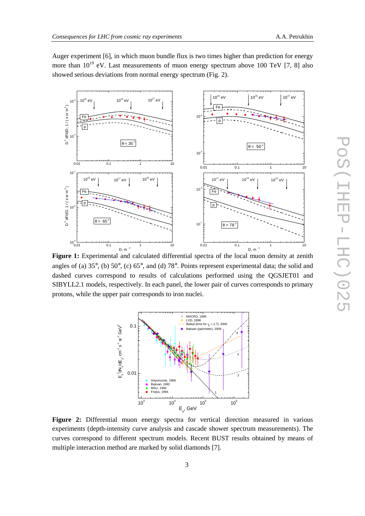0.01 0.1 1 10

 $\theta = 35^\circ$ 

 $^{1}$ eV 10<sup>16</sup> eV 10<sup>17</sup> eV

10-4

 $10^{-1}$ 

 $D^3$  dF/dD, 1 / (ssrm $^4$  $D^3 dF/dD, 1/(s s r m^4)$ 

10-3

 Fe p

Auger experiment [6], in which muon bundle flux is two times higher than prediction for energy more than  $10^{19}$  eV. Last measurements of muon energy spectrum above 100 TeV [7, 8] also showed serious deviations from normal energy spectrum (Fig. 2).



 $10^{-5}$ 

10-4

F<sub>e</sub>

p



Figure 2: Differential muon energy spectra for vertical direction measured in various experiments (depth-intensity curve analysis and cascade shower spectrum measurements). The curves correspond to different spectrum models. Recent BUST results obtained by means of multiple interaction method are marked by solid diamonds [7].

0.01 0.1 1 10

 $\theta = 50^\circ$ 

 $10^{15}$  eV  $10^{16}$  eV  $10^{17}$  eV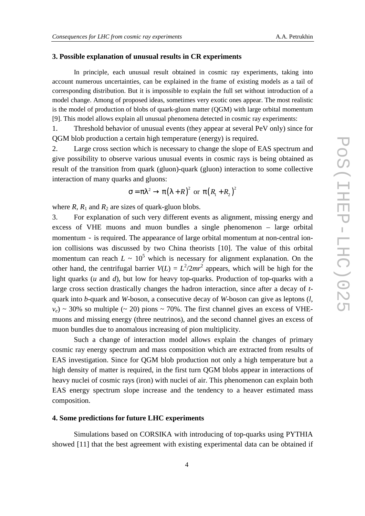## **3. Possible explanation of unusual results in CR experiments**

 In principle, each unusual result obtained in cosmic ray experiments, taking into account numerous uncertainties, can be explained in the frame of existing models as a tail of corresponding distribution. But it is impossible to explain the full set without introduction of a model change. Among of proposed ideas, sometimes very exotic ones appear. The most realistic is the model of production of blobs of quark-gluon matter (QGM) with large orbital momentum [9]. This model allows explain all unusual phenomena detected in cosmic ray experiments:

1. Threshold behavior of unusual events (they appear at several PeV only) since for QGM blob production a certain high temperature (energy) is required.

2. Large cross section which is necessary to change the slope of EAS spectrum and give possibility to observe various unusual events in cosmic rays is being obtained as result of the transition from quark (gluon)-quark (gluon) interaction to some collective interaction of many quarks and gluons:

$$
\sigma = \pi \lambda^2 \to \pi (\lambda + R)^2 \text{ or } \pi (R_1 + R_2)^2
$$

where  $R$ ,  $R_1$  and  $R_2$  are sizes of quark-gluon blobs.

3. For explanation of such very different events as alignment, missing energy and excess of VHE muons and muon bundles a single phenomenon – large orbital momentum - is required. The appearance of large orbital momentum at non-central ionion collisions was discussed by two China theorists [10]. The value of this orbital momentum can reach  $L \sim 10^5$  which is necessary for alignment explanation. On the other hand, the centrifugal barrier  $V(L) = L^2/2mr^2$  appears, which will be high for the light quarks (*u* and *d*), but low for heavy top-quarks. Production of top-quarks with a large cross section drastically changes the hadron interaction, since after a decay of *t*quark into *b*-quark and *W*-boson, a consecutive decay of *W*-boson can give as leptons (*l*,  $v_e$ ) ~ 30% so multiple (~ 20) pions ~ 70%. The first channel gives an excess of VHEmuons and missing energy (three neutrinos), and the second channel gives an excess of muon bundles due to anomalous increasing of pion multiplicity.

 Such a change of interaction model allows explain the changes of primary cosmic ray energy spectrum and mass composition which are extracted from results of EAS investigation. Since for QGM blob production not only a high temperature but a high density of matter is required, in the first turn QGM blobs appear in interactions of heavy nuclei of cosmic rays (iron) with nuclei of air. This phenomenon can explain both EAS energy spectrum slope increase and the tendency to a heaver estimated mass composition.

## **4. Some predictions for future LHC experiments**

 Simulations based on CORSIKA with introducing of top-quarks using PYTHIA showed [11] that the best agreement with existing experimental data can be obtained if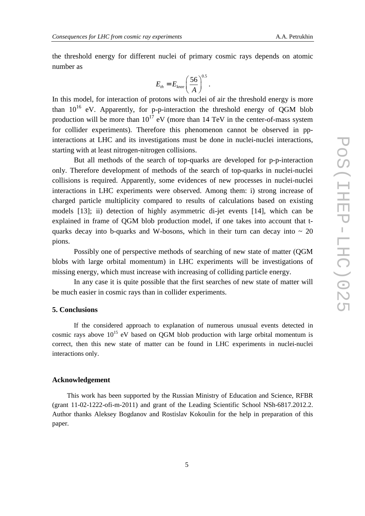the threshold energy for different nuclei of primary cosmic rays depends on atomic number as

$$
E_{th} = E_{knee} \left(\frac{56}{A}\right)^{0.5}.
$$

In this model, for interaction of protons with nuclei of air the threshold energy is more than  $10^{16}$  eV. Apparently, for p-p-interaction the threshold energy of QGM blob production will be more than  $10^{17}$  eV (more than 14 TeV in the center-of-mass system for collider experiments). Therefore this phenomenon cannot be observed in ppinteractions at LHC and its investigations must be done in nuclei-nuclei interactions, starting with at least nitrogen-nitrogen collisions.

 But all methods of the search of top-quarks are developed for p-p-interaction only. Therefore development of methods of the search of top-quarks in nuclei-nuclei collisions is required. Apparently, some evidences of new processes in nuclei-nuclei interactions in LHC experiments were observed. Among them: i) strong increase of charged particle multiplicity compared to results of calculations based on existing models [13]; ii) detection of highly asymmetric di-jet events [14], which can be explained in frame of QGM blob production model, if one takes into account that tquarks decay into b-quarks and W-bosons, which in their turn can decay into  $\sim 20$ pions.

 Possibly one of perspective methods of searching of new state of matter (QGM blobs with large orbital momentum) in LHC experiments will be investigations of missing energy, which must increase with increasing of colliding particle energy.

 In any case it is quite possible that the first searches of new state of matter will be much easier in cosmic rays than in collider experiments.

#### **5. Conclusions**

 If the considered approach to explanation of numerous unusual events detected in cosmic rays above  $10^{15}$  eV based on QGM blob production with large orbital momentum is correct, then this new state of matter can be found in LHC experiments in nuclei-nuclei interactions only.

#### **Acknowledgement**

This work has been supported by the Russian Ministry of Education and Science, RFBR (grant 11-02-1222-ofi-m-2011) and grant of the Leading Scientific School NSh-6817.2012.2. Author thanks Aleksey Bogdanov and Rostislav Kokoulin for the help in preparation of this paper.